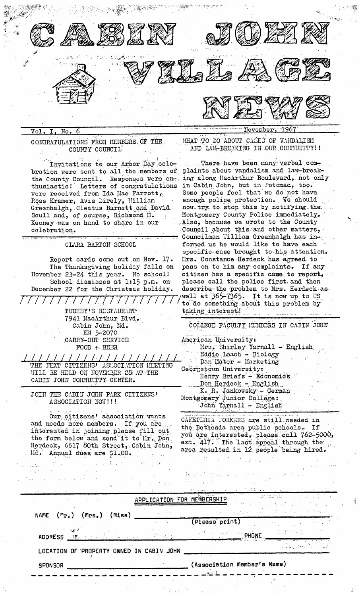

Voľ. Nо

CONGRATULATIONS FROM MEMBERS OF THE. COUNTY COUNCIL

Invitations to our Arbor Day celebration were sent to all the members of plaints about vandalism and law-breakthusiastic! Letters of congratulations in Cabin John, but in Potomac, too. were received from Ida Mae Farrott, Rose Kramer, Avis Direly, William Greenhalgh, Cleatus Barnett and David Scull and, of course, Richmond II. Keeney was on hand to share in our celebration.

CLARA BARTON SCHOOL

Report cards come out on Nov. 17. The Thanksgiving holiday falls on November 23-24 this year. No school! School dismisses at 1:15 p.m. on December 22 for the Christmas holiday.

> $\frac{1}{2}$ TUOHEY'S RESTAURANT 7941 MacArthur Blvd. Cabin John, Md. EM 5-2070 CARRY-OUT SERVICE  $FOOD + BEER$

THE NEXT CITIZENS' ASSOCIATION MEETING WILL BE HELD ON NOVEMBER 28 AT THE CABIN JOHN COLMUNITY CENTER.

JOIN THE CABIN JOHN PARK CITIZENS' ASSOCIATION NOW!!!!

Our citizens' association wants and needs more members. If you are interested in joining please fill out the form below and send it to Mr. Don. Herdeck, 6617 80th Street, Cabin John, Ild. Annual dues are \$1.00.

WHAT TO DO ABOUT CASES OF VANDALISM AND LAW-BREAKING IN OUR CONNUNTTY!!

.....There have been many verbal comthe County Council. Responses were en- ing along MacArthur Boulevard, not only Some people feel that we do not have enough police protection. We should now try to stop this by notifying the Montgomery County Police immediately. Also, because we wrote to the County Council about this and other matters, Councilman William Greenhalgh has informed us he would like to have each specific case brought to his attention. Mrs. Constance Herdeck has agreed to pass on to him any complaints. If any citizen has a specific case to report, please call the police first and then describe the problem to Mrs. Herdeck aswell at 365-7365. It is now up to US to do something about this problem by taking interest!

> COLLEGE FACULTY HEMBERS IN CABIN JOHN American University: Mrs. Shirley Yarnall - English Eddie Leach - Biology Dan'Ilater - Harketing Georgetown University: Henry Briefs - Economics Don Herdeck - English K. R. Jankowsky - German Montgomery Junior College: John Yarnall - English

CAFETERIA WORKERS are still needed in the Bethesda area public schools. If you are interested, please call 762-5000, ext. 417. The last appeal through the area resulted in 12 people being hired.

| <b>SPONSOR</b>                                                                                                                                                                                                                                        |  |                                          | $_{\rm \odot}$ (Association Member's Name)                                                                                                                                                                                                                                                                                                          |                                                                                                                                                                                                                                                                                                                                                                                                                                                          |  |
|-------------------------------------------------------------------------------------------------------------------------------------------------------------------------------------------------------------------------------------------------------|--|------------------------------------------|-----------------------------------------------------------------------------------------------------------------------------------------------------------------------------------------------------------------------------------------------------------------------------------------------------------------------------------------------------|----------------------------------------------------------------------------------------------------------------------------------------------------------------------------------------------------------------------------------------------------------------------------------------------------------------------------------------------------------------------------------------------------------------------------------------------------------|--|
|                                                                                                                                                                                                                                                       |  | LOCATION OF PROPERTY OWNED IN CABIN JOHN |                                                                                                                                                                                                                                                                                                                                                     |                                                                                                                                                                                                                                                                                                                                                                                                                                                          |  |
| $\mathbb{R}^n$ and $\mathbb{R}^n$ and $\mathbb{R}^n$ and $\mathbb{R}^n$<br><b>ADDRESS</b> 图表 <sub>100</sub> 图表 2000 management A Provide                                                                                                              |  |                                          | $\mathbb{P}^{(N)}$ , $\mathbb{P}^{(N)}$ , $\mathbb{P}^{(N)}$ , $\mathbb{P}^{(N)}$ , $\mathbb{P}^{(N)}$ , $\mathbb{P}^{(N)}$ , $\mathbb{P}^{(N)}$ , $\mathbb{P}^{(N)}$ , $\mathbb{P}^{(N)}$ , $\mathbb{P}^{(N)}$ , $\mathbb{P}^{(N)}$ , $\mathbb{P}^{(N)}$ , $\mathbb{P}^{(N)}$ , $\mathbb{P}^{(N)}$ , $\mathbb{P}^{(N)}$<br>$\sim$ 8 meV and $\sim$ |                                                                                                                                                                                                                                                                                                                                                                                                                                                          |  |
|                                                                                                                                                                                                                                                       |  |                                          | (Please print) and the contract of the contract of the contract of the contract of the contract of the contract of the contract of the contract of the contract of the contract of the contract of the contract of the contrac                                                                                                                      |                                                                                                                                                                                                                                                                                                                                                                                                                                                          |  |
| NAME $(m_{r_{\bullet}})$ (Mrs.) (Miss) __                                                                                                                                                                                                             |  | contact of the                           |                                                                                                                                                                                                                                                                                                                                                     | $\label{eq:2.1} \mathcal{L}(\mathcal{L}(\mathcal{L}^{\mathcal{L}}(\mathcal{L}^{\mathcal{L}}(\mathcal{L}^{\mathcal{L}}(\mathcal{L}^{\mathcal{L}}(\mathcal{L}^{\mathcal{L}}(\mathcal{L}^{\mathcal{L}}(\mathcal{L}^{\mathcal{L}}(\mathcal{L}^{\mathcal{L}}(\mathcal{L}^{\mathcal{L}}(\mathcal{L}^{\mathcal{L}}(\mathcal{L}^{\mathcal{L}}(\mathcal{L}^{\mathcal{L}}(\mathcal{L}^{\mathcal{L}}(\mathcal{L}^{\mathcal{L}}(\mathcal{L}^{\mathcal{L}}(\mathcal{$ |  |
|                                                                                                                                                                                                                                                       |  | APPLICATION                              | FOR MEMBERSHIP THE REPORT OF THE RESIDENCE OF                                                                                                                                                                                                                                                                                                       | The dealer of a series of the temperature                                                                                                                                                                                                                                                                                                                                                                                                                |  |
|                                                                                                                                                                                                                                                       |  | ほうしょう しまうせいそみぎ                           | <u>الله المستقل المستقل المستقل المستقلة المستقلة المستقلة المستقلة المستقلة المستقلة المستقلة المستقلة المستقلة ا</u>                                                                                                                                                                                                                              |                                                                                                                                                                                                                                                                                                                                                                                                                                                          |  |
| $\mathcal{A}^{\mathcal{A}}$ , where $\mathcal{A}^{\mathcal{A}}$ are the set of the set of the set of the set of the set of the set of the set of the set of the set of the set of the set of the set of the set of the set of the set of the set of t |  |                                          | しね はくしゅん コンピューティー こうさいしょ<br>かんしょう アイ・シー かいしょう こうかいしょ                                                                                                                                                                                                                                                                                                |                                                                                                                                                                                                                                                                                                                                                                                                                                                          |  |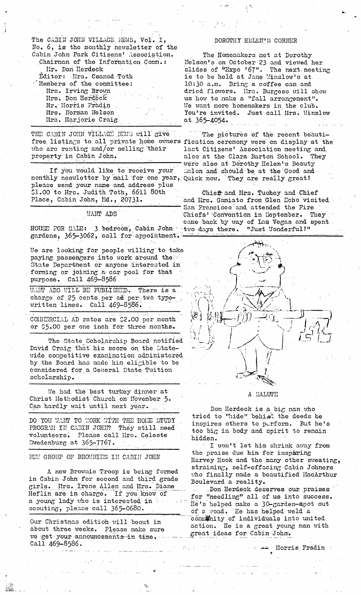The CABIN JOHN VILLAGE HEWS, Vol. I, No. 6, is the monthly newsletter of the Cabin John Park Citizens' Association. Chairman of the Information Comm.: Mr. Don Herdeck Éditor: Mrs. Csanad Toth Members of the committee: Mrs. Irving Brown Mrs. Don Herdeck Mr. Morris Fradin Mrs. Norman Nelson Mrs. Marjorie Craig

THE CABIN JOHN VILLAGE HENG WILL GIVE free listings to all private home ouners fication ceremony were on display at the who are renting and/or selling their property in Cabin John.

If you would like to receive your monthly nesuletter by mail for one year, Quick now. They are really great! please send your name and address plus \$1.00 to Mrs. Judith Toth, 6611 80th Place, Cabin John, Hd., 20731.

## HANT ADS

HOUSE FOR SALE: 3 bedroom, Cabin John true days there. gardens, 365-3062, call for appointment.

We are looking for people willing to take paying passengers into work around the State Department or anyone interested in forming or joining a car pool for that purpose. Call 469-8586

WANT ADS WILL BE PUBLISHED. There is a charge of 25 cents per ad per two typeuritten lines. Call 469-8586.

COMERCIAL AD rates are \$2.00 per month or \$5.00 per one inch for three months.

The State Scholarship Board notified David Craig that his score on the Statewide competitive examination administered by the Board has made him eligible to be considered for a General State Tuition scholarship.

We had the best turkey dinner at Christ Methodist Church on November 5. Can hardly wait until next year.

DO YOU WANT TO WORK WITH THE HOUE STUDY PROGRAM IN CABIN JOHN? They still need volunteers. Please call lirs. Celeste Swedenburg at 365-7767.

HEM GROUP OF BROWNIES IN CABIN JOHN

A new Brownie Troop is being formed in Cabin John for second and third grade girls. Mrs. Irene Allen and Mrs. Diane Heflin are in charge. If you know of a young lady who is interested in scouting, please call 365-0680.

Our Christmas edition will beout in about three weeks. Please make sure we get your announcements in time. Call 469-8586.

## DOROTHY HELEN'S CORNER

The Homemakers met at Dorothy Nelson's on October 23 and viewed her slides of "Expo '67". The next meeting is to be held at Jane Winslow's at 10:30 a.m. Bring a coffee can and dried flowers. Hrs. Burgess will show us how to make a "fall arrangement". Me want more homemakers in the club. You're invited. Just call Mrs. Winslow at 365-4054.

The pictures of the recent beautilast Citizens' Association meeting and also at the Clara Barton School. They were also at Dorothy Helen's Beauty Salon and should be at the Good and

Chief and Mrs. Tuohey and Chief and Mrs. Gamiato from Glen Echo visited San Francisco and attended the Fire Chiefs' Convention in September. They came back by way of Las Vegas and spent "Just Wonderful!"



A SALUTE

Don Herdeck is a big man who tried to "hide" behist the deeds he inspires others to perform. But he's too big in body and spirit to remain hidden.

I won't let him shrink away from the praise due him for inspiring Harvey Hook and the many other sweating, straining, self-effacing Cabin Johners who finally made a beautified MacArthur Boulevard a reality.

Don Herdeck deserves our praises for "needling" all of us into success. He's helped make a 30-garden-apot out of a road. He has helped weld a commity of individuals into united action. He is a great young man with great ideas for Cabin John.

Horris Fradin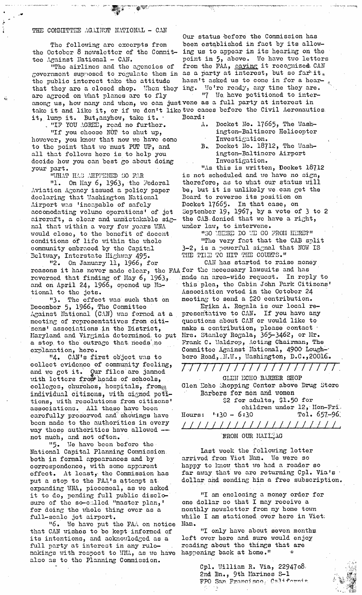## THE COMMITTEE AGAIHST NATIONAL - CAN

the October 8 nowsletter of the Commit-

government supposed to regulate them in as a party at interest, but so far<sup>ti</sup>it.<br>the public interest take the attitude hasn't asked us to come in for a hearthe public interest take the attitude that they are a closed shop. When they ing. We're ready, any time they are. are agreed on what planes are to fly will we have petitioned to interamong us, how many and whon, we can justvene as a full party at interest in it, lump it. But, anyhow, take it.

"IF YOU AGREE, road no further.

"If you choose NOT to shut up, however, you know that now we have come to the point that we must PUT UP, and all that follows hero is to help you decide how you can best go about doing your part.

"UHAT HAS AHPPENED SO FAR

"l. On Nay 6, 1963, the Federal Aviation Agency issued a policy paper doclaring that Washington National Airport was 'incapable of safely accomodating volume operations' of jet aircraft, a clear and unmistakable sig- the CAB denied that we have a right, nal that within a very few years WNA would close, to the benefit of docent conditions of life within the whole community embraced by the Capitnl Deltway, Interstate Highwzy 495.

"2. On January ll, 1966, for reasons it has never made clear, the FAAfor the necessary lawsuits and has reversed that finding of May 6, 1963, and on April 24, 1966, opened up National to the jots.

"3. The effect was such that on December 5, 1966, The Committee  $\Lambda$ gainst National (CAN) was fermed at a mooting of representatives from oitizens' associations in the District, make a contribution, please contact<br>Maryland and Virginia determined to put Mrs. Stanley Rogala, 365-3462, or Mr. Haryland and Virginia doterminod to put a stop to the outrage that needs no Frank C. Waldrop, Acting Chairman, The explanation, here.

"4. CAN's first object was to collect evidence of community feeling, and we got it. Our files are jammed with letters from heads of schools, colleges, churches, hospitals, frome individual citizens, with signed petitions, with resolutions from citizens' associations. All these have been carefully preserved and showings have boon made to the authorities in every way these authorities have allowed -not much, and not often.

"5. We have been before the National Capital Planning Commission both in formal appearances and by correspondence, with some apparent effect. At least,: the Commission has put a stop to the FAA's attempt at expanding WNA, piecemeal, as we asked it to do, pending full public discIosure of the so-called "master plan,' for doing the wholo thing over as a full-scale jot airport.

"6. We have put the FAA on notice Nam. that CAN wishes to be kept informed of "I only have about seven months its intentions, and acknowledged as a left over here and sure would enjoy its intentions, and acknowledged as a full party at interest in any rule- . reading about the things that are makings with respect to WM, as we have happening back at home." also as to the Planning Commission.

Our status before the Commission has The following are excerpts from been established in fact by its allow-<br>etober 8 newsletter of the Commit- ing us to appear in its hearing on the tee Against Hational - CAN. point in 5, above. We have two letters<br>"The airlines and the agencies of from the FAA, saying it recognized CAN from the FAA, saying it rocognized CAN

take it and like it, or if wc don't liko two cases before the Civil Aeronautics Board:

- A. Docket No. 17665, The Washington-Baltimore Helicopter Investigation.
- B. Docket No. 18712, The Washington-Baltimore Airport Investigation.

"As this is written, Docket 18712 is not scheduled and we have no sign, therefore, as to what our status will be, but it is unlikely we can get the Board to reverse its position on Docket 17665o In that case, on September 19, 1967, by a vote of 3 to 2 under law, to intervene.

"SO ULERE DO UL GO FROM HERE?" "The very fact that the CAB split  $3-2$ , is a powerful signal that NOW IS THE TILE TO HIT THE COURTS."

CAN has started to raise money made an area-wide request. In reply to thisplea, the Cabin John Park Citizens' Association voted in the October 24 meeting to send a \$20 contribution.

Erika A. Rogala is our local representative to CAN. If you have any questions about CAN or would like to Committoe Against National, 4900 Lough-" boro Road, I.W., Washington, D.C.,20016.

*/////////////////////.*  GLEN ECHO BARBER SHOP Glen Echo Shopping Center above Drug Store Barbers for men and women \$2 for adults, \$1.50 for children under 12, Non-Fri. Hours:  $1:30-6:30$  Tel. 657-96: / / / / / /// / /// / /I / / //I /

## **EROM OUR MAIL AG**

Last week the following letter arrived from Viet Nam. We were so happy to know that we had a reader so far away that we are returning Cpl. Via's dollar and sending him a free subscription.

"I am enclosing a money order for one dollar so that I may receive a monthly newsletter from my home town while I am stationed over here in Viet;

Cpl. William R. Via, 2294708 2nd Bn., 9th Marines S-1  $FPO$  San Francisco, California

 $\epsilon$  and  $\epsilon$  is  $\epsilon$  . The  $\epsilon$   $\approx$